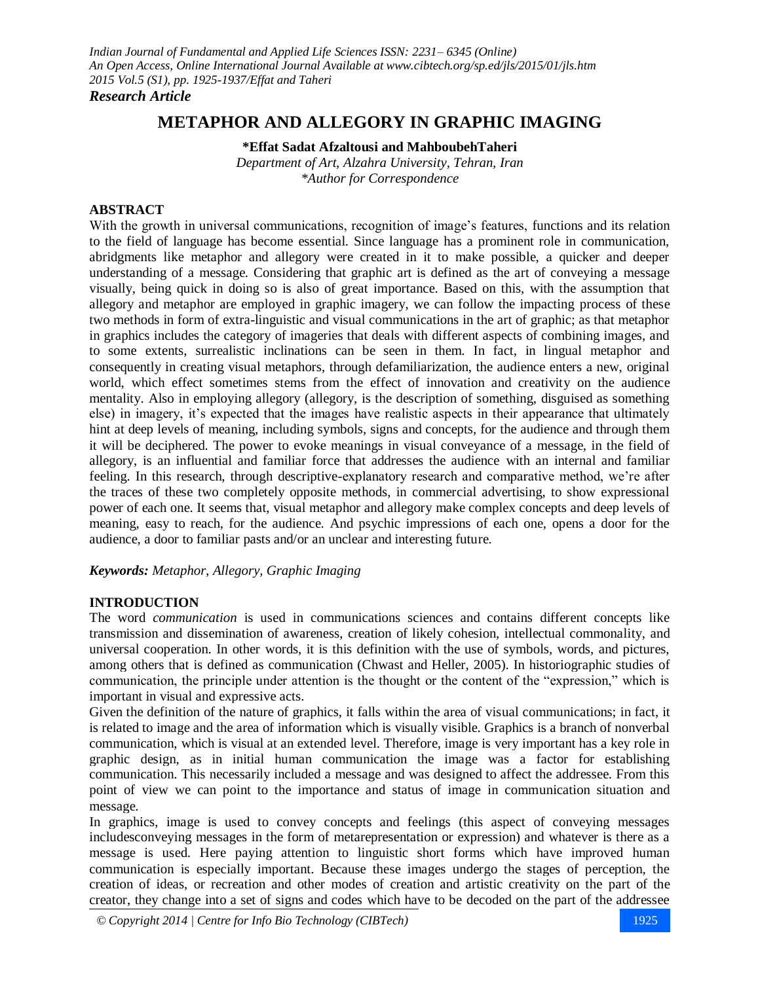*Research Article*

# **METAPHOR AND ALLEGORY IN GRAPHIC IMAGING**

**\*Effat Sadat Afzaltousi and MahboubehTaheri**

*Department of Art, Alzahra University, Tehran, Iran \*Author for Correspondence*

#### **ABSTRACT**

With the growth in universal communications, recognition of image's features, functions and its relation to the field of language has become essential. Since language has a prominent role in communication, abridgments like metaphor and allegory were created in it to make possible, a quicker and deeper understanding of a message. Considering that graphic art is defined as the art of conveying a message visually, being quick in doing so is also of great importance. Based on this, with the assumption that allegory and metaphor are employed in graphic imagery, we can follow the impacting process of these two methods in form of extra-linguistic and visual communications in the art of graphic; as that metaphor in graphics includes the category of imageries that deals with different aspects of combining images, and to some extents, surrealistic inclinations can be seen in them. In fact, in lingual metaphor and consequently in creating visual metaphors, through defamiliarization, the audience enters a new, original world, which effect sometimes stems from the effect of innovation and creativity on the audience mentality. Also in employing allegory (allegory, is the description of something, disguised as something else) in imagery, it's expected that the images have realistic aspects in their appearance that ultimately hint at deep levels of meaning, including symbols, signs and concepts, for the audience and through them it will be deciphered. The power to evoke meanings in visual conveyance of a message, in the field of allegory, is an influential and familiar force that addresses the audience with an internal and familiar feeling. In this research, through descriptive-explanatory research and comparative method, we're after the traces of these two completely opposite methods, in commercial advertising, to show expressional power of each one. It seems that, visual metaphor and allegory make complex concepts and deep levels of meaning, easy to reach, for the audience. And psychic impressions of each one, opens a door for the audience, a door to familiar pasts and/or an unclear and interesting future.

### *Keywords: Metaphor, Allegory, Graphic Imaging*

### **INTRODUCTION**

The word *communication* is used in communications sciences and contains different concepts like transmission and dissemination of awareness, creation of likely cohesion, intellectual commonality, and universal cooperation. In other words, it is this definition with the use of symbols, words, and pictures, among others that is defined as communication (Chwast and Heller, 2005). In historiographic studies of communication, the principle under attention is the thought or the content of the "expression," which is important in visual and expressive acts.

Given the definition of the nature of graphics, it falls within the area of visual communications; in fact, it is related to image and the area of information which is visually visible. Graphics is a branch of nonverbal communication, which is visual at an extended level. Therefore, image is very important has a key role in graphic design, as in initial human communication the image was a factor for establishing communication. This necessarily included a message and was designed to affect the addressee. From this point of view we can point to the importance and status of image in communication situation and message.

In graphics, image is used to convey concepts and feelings (this aspect of conveying messages includesconveying messages in the form of metarepresentation or expression) and whatever is there as a message is used. Here paying attention to linguistic short forms which have improved human communication is especially important. Because these images undergo the stages of perception, the creation of ideas, or recreation and other modes of creation and artistic creativity on the part of the creator, they change into a set of signs and codes which have to be decoded on the part of the addressee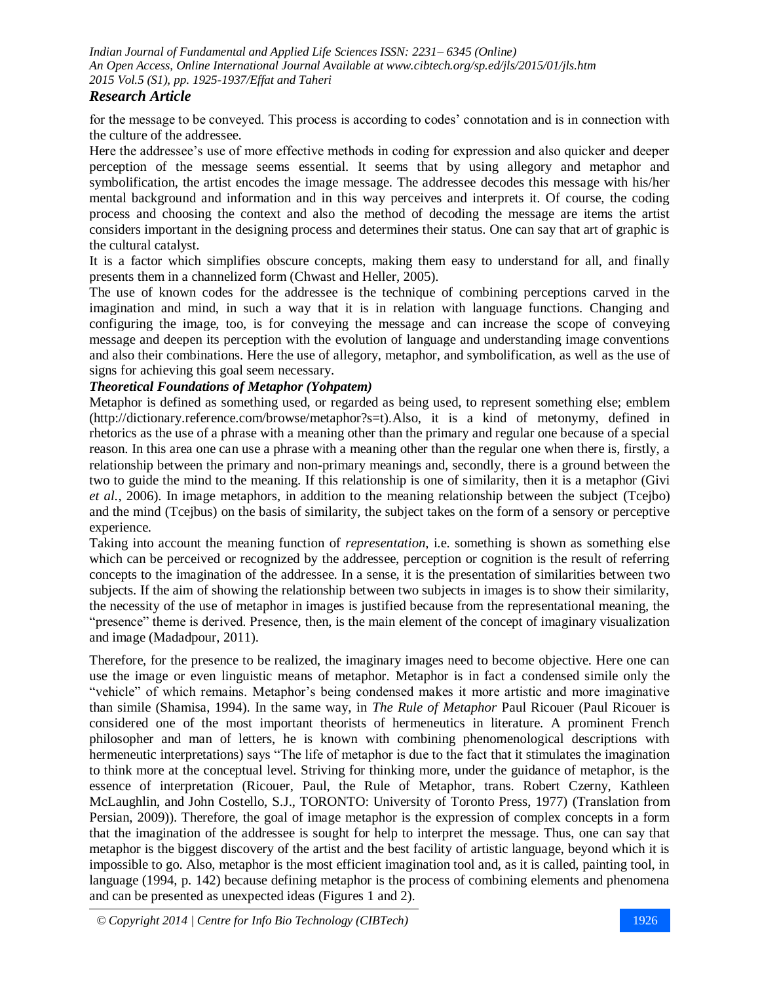## *Research Article*

for the message to be conveyed. This process is according to codes' connotation and is in connection with the culture of the addressee.

Here the addressee's use of more effective methods in coding for expression and also quicker and deeper perception of the message seems essential. It seems that by using allegory and metaphor and symbolification, the artist encodes the image message. The addressee decodes this message with his/her mental background and information and in this way perceives and interprets it. Of course, the coding process and choosing the context and also the method of decoding the message are items the artist considers important in the designing process and determines their status. One can say that art of graphic is the cultural catalyst.

It is a factor which simplifies obscure concepts, making them easy to understand for all, and finally presents them in a channelized form (Chwast and Heller, 2005).

The use of known codes for the addressee is the technique of combining perceptions carved in the imagination and mind, in such a way that it is in relation with language functions. Changing and configuring the image, too, is for conveying the message and can increase the scope of conveying message and deepen its perception with the evolution of language and understanding image conventions and also their combinations. Here the use of allegory, metaphor, and symbolification, as well as the use of signs for achieving this goal seem necessary.

## *Theoretical Foundations of Metaphor (Yohpatem)*

Metaphor is defined as something used, or regarded as being used, to represent something else; emblem (http://dictionary.reference.com/browse/metaphor?s=t).Also, it is a kind of metonymy, defined in rhetorics as the use of a phrase with a meaning other than the primary and regular one because of a special reason. In this area one can use a phrase with a meaning other than the regular one when there is, firstly, a relationship between the primary and non-primary meanings and, secondly, there is a ground between the two to guide the mind to the meaning. If this relationship is one of similarity, then it is a metaphor (Givi *et al.,* 2006). In image metaphors, in addition to the meaning relationship between the subject (Tcejbo) and the mind (Tcejbus) on the basis of similarity, the subject takes on the form of a sensory or perceptive experience.

Taking into account the meaning function of *representation*, i.e. something is shown as something else which can be perceived or recognized by the addressee, perception or cognition is the result of referring concepts to the imagination of the addressee. In a sense, it is the presentation of similarities between two subjects. If the aim of showing the relationship between two subjects in images is to show their similarity, the necessity of the use of metaphor in images is justified because from the representational meaning, the "presence" theme is derived. Presence, then, is the main element of the concept of imaginary visualization and image (Madadpour, 2011).

Therefore, for the presence to be realized, the imaginary images need to become objective. Here one can use the image or even linguistic means of metaphor. Metaphor is in fact a condensed simile only the "vehicle" of which remains. Metaphor's being condensed makes it more artistic and more imaginative than simile (Shamisa, 1994). In the same way, in *The Rule of Metaphor* Paul Ricouer (Paul Ricouer is considered one of the most important theorists of hermeneutics in literature. A prominent French philosopher and man of letters, he is known with combining phenomenological descriptions with hermeneutic interpretations) says "The life of metaphor is due to the fact that it stimulates the imagination to think more at the conceptual level. Striving for thinking more, under the guidance of metaphor, is the essence of interpretation (Ricouer, Paul, the Rule of Metaphor, trans. Robert Czerny, Kathleen McLaughlin, and John Costello, S.J., TORONTO: University of Toronto Press, 1977) (Translation from Persian, 2009)). Therefore, the goal of image metaphor is the expression of complex concepts in a form that the imagination of the addressee is sought for help to interpret the message. Thus, one can say that metaphor is the biggest discovery of the artist and the best facility of artistic language, beyond which it is impossible to go. Also, metaphor is the most efficient imagination tool and, as it is called, painting tool, in language (1994, p. 142) because defining metaphor is the process of combining elements and phenomena and can be presented as unexpected ideas (Figures 1 and 2).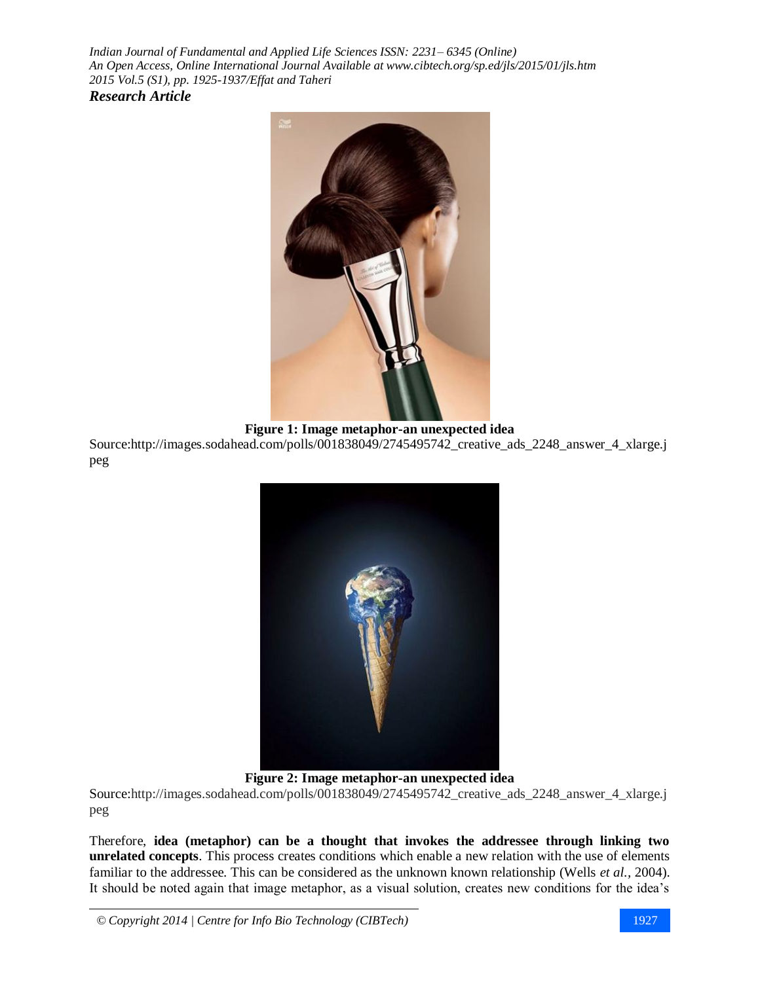

**Figure 1: Image metaphor-an unexpected idea** Source:http://images.sodahead.com/polls/001838049/2745495742\_creative\_ads\_2248\_answer\_4\_xlarge.j peg



**Figure 2: Image metaphor-an unexpected idea**

Source[:http://images.sodahead.com/polls/001838049/2745495742\\_creative\\_ads\\_2248\\_answer\\_4\\_xlarge.j](http://images.sodahead.com/polls/001838049/2745495742_creative_ads_2248_answer_4_xlarge.jpeg) [peg](http://images.sodahead.com/polls/001838049/2745495742_creative_ads_2248_answer_4_xlarge.jpeg)

Therefore, **idea (metaphor) can be a thought that invokes the addressee through linking two unrelated concepts**. This process creates conditions which enable a new relation with the use of elements familiar to the addressee. This can be considered as the unknown known relationship (Wells *et al.,* 2004). It should be noted again that image metaphor, as a visual solution, creates new conditions for the idea's

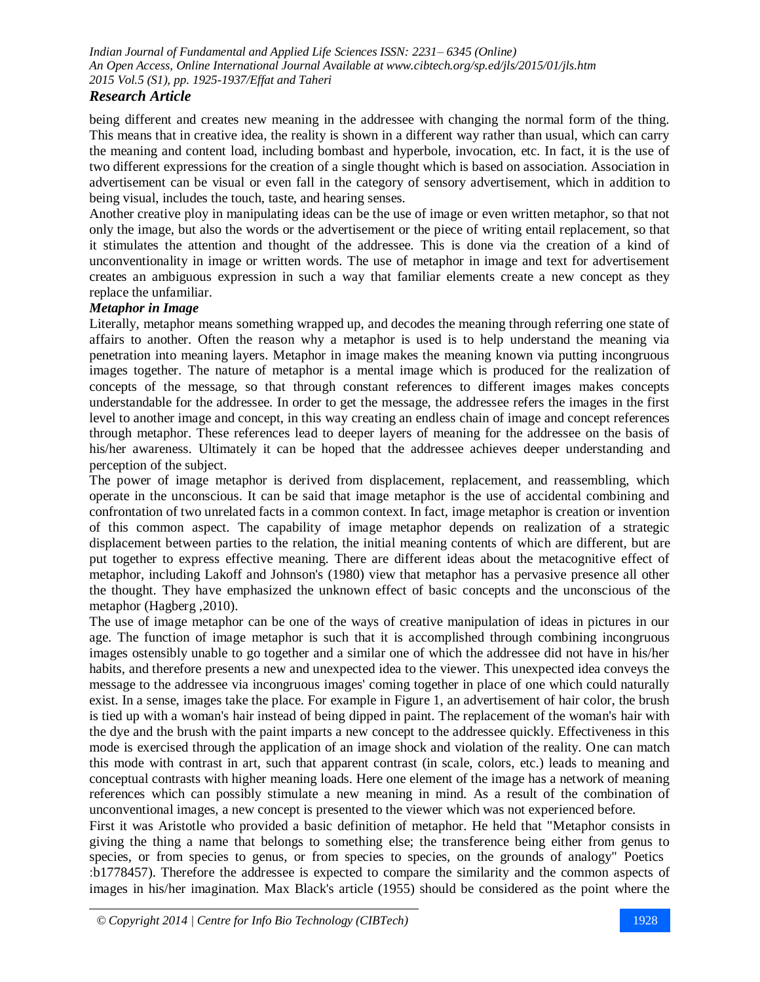## *Research Article*

being different and creates new meaning in the addressee with changing the normal form of the thing. This means that in creative idea, the reality is shown in a different way rather than usual, which can carry the meaning and content load, including bombast and hyperbole, invocation, etc. In fact, it is the use of two different expressions for the creation of a single thought which is based on association. Association in advertisement can be visual or even fall in the category of sensory advertisement, which in addition to being visual, includes the touch, taste, and hearing senses.

Another creative ploy in manipulating ideas can be the use of image or even written metaphor, so that not only the image, but also the words or the advertisement or the piece of writing entail replacement, so that it stimulates the attention and thought of the addressee. This is done via the creation of a kind of unconventionality in image or written words. The use of metaphor in image and text for advertisement creates an ambiguous expression in such a way that familiar elements create a new concept as they replace the unfamiliar.

#### *Metaphor in Image*

Literally, metaphor means something wrapped up, and decodes the meaning through referring one state of affairs to another. Often the reason why a metaphor is used is to help understand the meaning via penetration into meaning layers. Metaphor in image makes the meaning known via putting incongruous images together. The nature of metaphor is a mental image which is produced for the realization of concepts of the message, so that through constant references to different images makes concepts understandable for the addressee. In order to get the message, the addressee refers the images in the first level to another image and concept, in this way creating an endless chain of image and concept references through metaphor. These references lead to deeper layers of meaning for the addressee on the basis of his/her awareness. Ultimately it can be hoped that the addressee achieves deeper understanding and perception of the subject.

The power of image metaphor is derived from displacement, replacement, and reassembling, which operate in the unconscious. It can be said that image metaphor is the use of accidental combining and confrontation of two unrelated facts in a common context. In fact, image metaphor is creation or invention of this common aspect. The capability of image metaphor depends on realization of a strategic displacement between parties to the relation, the initial meaning contents of which are different, but are put together to express effective meaning. There are different ideas about the metacognitive effect of metaphor, including Lakoff and Johnson's (1980) view that metaphor has a pervasive presence all other the thought. They have emphasized the unknown effect of basic concepts and the unconscious of the metaphor (Hagberg ,2010).

The use of image metaphor can be one of the ways of creative manipulation of ideas in pictures in our age. The function of image metaphor is such that it is accomplished through combining incongruous images ostensibly unable to go together and a similar one of which the addressee did not have in his/her habits, and therefore presents a new and unexpected idea to the viewer. This unexpected idea conveys the message to the addressee via incongruous images' coming together in place of one which could naturally exist. In a sense, images take the place. For example in Figure 1, an advertisement of hair color, the brush is tied up with a woman's hair instead of being dipped in paint. The replacement of the woman's hair with the dye and the brush with the paint imparts a new concept to the addressee quickly. Effectiveness in this mode is exercised through the application of an image shock and violation of the reality. One can match this mode with contrast in art, such that apparent contrast (in scale, colors, etc.) leads to meaning and conceptual contrasts with higher meaning loads. Here one element of the image has a network of meaning references which can possibly stimulate a new meaning in mind. As a result of the combination of unconventional images, a new concept is presented to the viewer which was not experienced before.

First it was Aristotle who provided a basic definition of metaphor. He held that "Metaphor consists in giving the thing a name that belongs to something else; the transference being either from genus to species, or from species to genus, or from species to species, on the grounds of analogy" Poetics :b1778457). Therefore the addressee is expected to compare the similarity and the common aspects of images in his/her imagination. Max Black's article (1955) should be considered as the point where the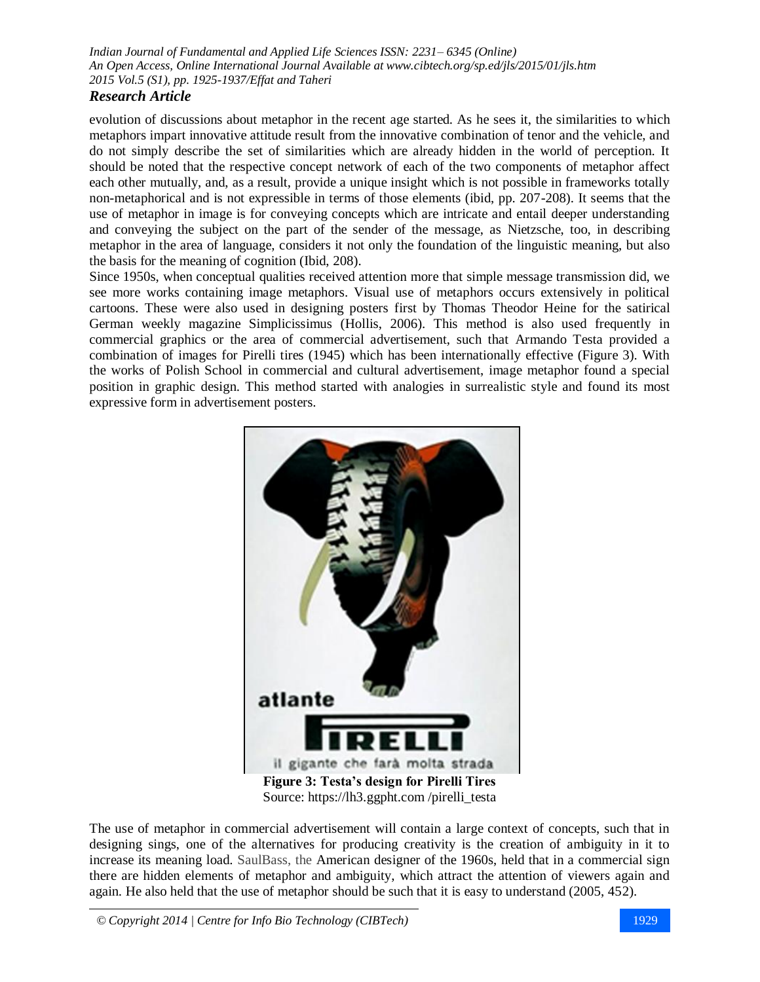# *Research Article*

evolution of discussions about metaphor in the recent age started. As he sees it, the similarities to which metaphors impart innovative attitude result from the innovative combination of tenor and the vehicle, and do not simply describe the set of similarities which are already hidden in the world of perception. It should be noted that the respective concept network of each of the two components of metaphor affect each other mutually, and, as a result, provide a unique insight which is not possible in frameworks totally non-metaphorical and is not expressible in terms of those elements (ibid, pp. 207-208). It seems that the use of metaphor in image is for conveying concepts which are intricate and entail deeper understanding and conveying the subject on the part of the sender of the message, as Nietzsche, too, in describing metaphor in the area of language, considers it not only the foundation of the linguistic meaning, but also the basis for the meaning of cognition (Ibid, 208).

Since 1950s, when conceptual qualities received attention more that simple message transmission did, we see more works containing image metaphors. Visual use of metaphors occurs extensively in political cartoons. These were also used in designing posters first by Thomas Theodor Heine for the satirical German weekly magazine Simplicissimus (Hollis, 2006). This method is also used frequently in commercial graphics or the area of commercial advertisement, such that Armando Testa provided a combination of images for Pirelli tires (1945) which has been internationally effective (Figure 3). With the works of Polish School in commercial and cultural advertisement, image metaphor found a special position in graphic design. This method started with analogies in surrealistic style and found its most expressive form in advertisement posters.



The use of metaphor in commercial advertisement will contain a large context of concepts, such that in designing sings, one of the alternatives for producing creativity is the creation of ambiguity in it to increase its meaning load. SaulBass, the American designer of the 1960s, held that in a commercial sign there are hidden elements of metaphor and ambiguity, which attract the attention of viewers again and again. He also held that the use of metaphor should be such that it is easy to understand (2005, 452).

*© Copyright 2014 | Centre for Info Bio Technology (CIBTech)* 1929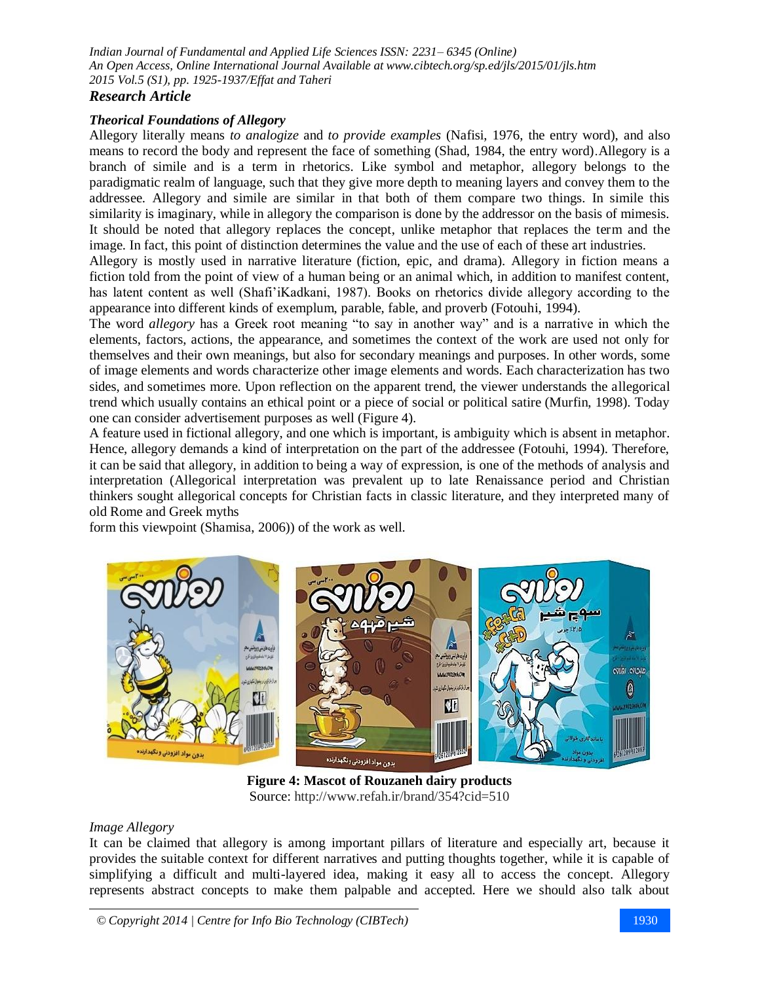# *Research Article*

## *Theorical Foundations of Allegory*

Allegory literally means *to analogize* and *to provide examples* (Nafisi, 1976, the entry word), and also means to record the body and represent the face of something (Shad, 1984, the entry word).Allegory is a branch of simile and is a term in rhetorics. Like symbol and metaphor, allegory belongs to the paradigmatic realm of language, such that they give more depth to meaning layers and convey them to the addressee. Allegory and simile are similar in that both of them compare two things. In simile this similarity is imaginary, while in allegory the comparison is done by the addressor on the basis of mimesis. It should be noted that allegory replaces the concept, unlike metaphor that replaces the term and the image. In fact, this point of distinction determines the value and the use of each of these art industries.

Allegory is mostly used in narrative literature (fiction, epic, and drama). Allegory in fiction means a fiction told from the point of view of a human being or an animal which, in addition to manifest content, has latent content as well (Shafi'iKadkani, 1987). Books on rhetorics divide allegory according to the appearance into different kinds of exemplum, parable, fable, and proverb (Fotouhi, 1994).

The word *allegory* has a Greek root meaning "to say in another way" and is a narrative in which the elements, factors, actions, the appearance, and sometimes the context of the work are used not only for themselves and their own meanings, but also for secondary meanings and purposes. In other words, some of image elements and words characterize other image elements and words. Each characterization has two sides, and sometimes more. Upon reflection on the apparent trend, the viewer understands the allegorical trend which usually contains an ethical point or a piece of social or political satire (Murfin, 1998). Today one can consider advertisement purposes as well (Figure 4).

A feature used in fictional allegory, and one which is important, is ambiguity which is absent in metaphor. Hence, allegory demands a kind of interpretation on the part of the addressee (Fotouhi, 1994). Therefore, it can be said that allegory, in addition to being a way of expression, is one of the methods of analysis and interpretation (Allegorical interpretation was prevalent up to late Renaissance period and Christian thinkers sought allegorical concepts for Christian facts in classic literature, and they interpreted many of old Rome and Greek myths

form this viewpoint (Shamisa, 2006)) of the work as well.



**Figure 4: Mascot of Rouzaneh dairy products** Source: <http://www.refah.ir/brand/354?cid=510>

#### *Image Allegory*

It can be claimed that allegory is among important pillars of literature and especially art, because it provides the suitable context for different narratives and putting thoughts together, while it is capable of simplifying a difficult and multi-layered idea, making it easy all to access the concept. Allegory represents abstract concepts to make them palpable and accepted. Here we should also talk about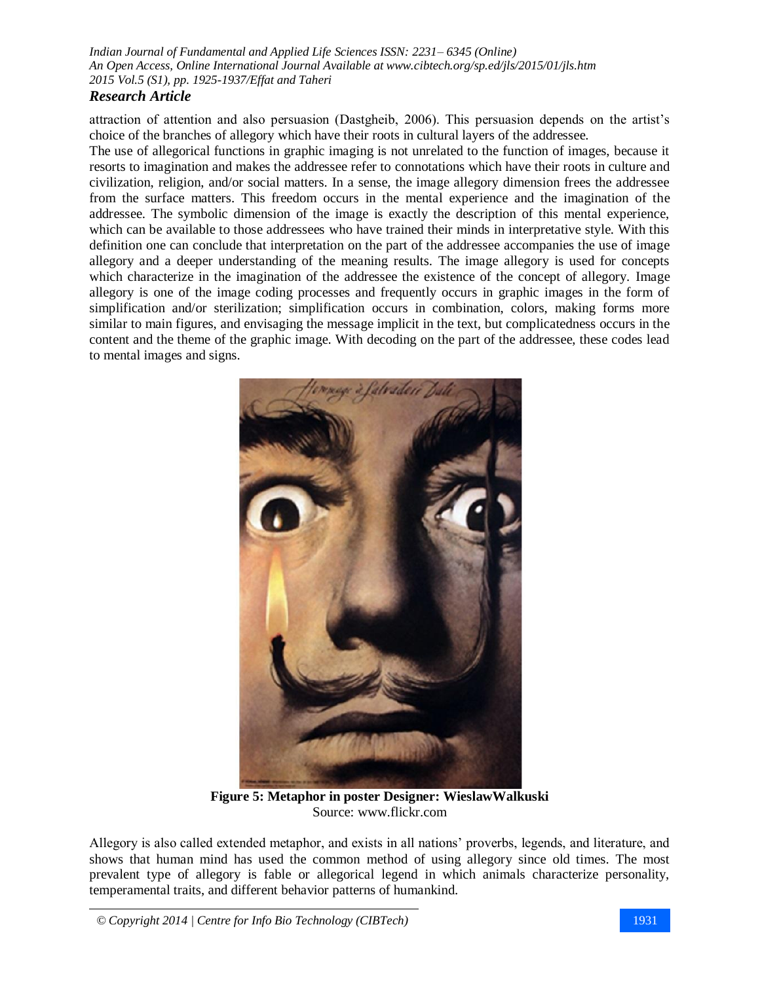# *Research Article*

attraction of attention and also persuasion (Dastgheib, 2006). This persuasion depends on the artist's choice of the branches of allegory which have their roots in cultural layers of the addressee.

The use of allegorical functions in graphic imaging is not unrelated to the function of images, because it resorts to imagination and makes the addressee refer to connotations which have their roots in culture and civilization, religion, and/or social matters. In a sense, the image allegory dimension frees the addressee from the surface matters. This freedom occurs in the mental experience and the imagination of the addressee. The symbolic dimension of the image is exactly the description of this mental experience, which can be available to those addressees who have trained their minds in interpretative style. With this definition one can conclude that interpretation on the part of the addressee accompanies the use of image allegory and a deeper understanding of the meaning results. The image allegory is used for concepts which characterize in the imagination of the addressee the existence of the concept of allegory. Image allegory is one of the image coding processes and frequently occurs in graphic images in the form of simplification and/or sterilization; simplification occurs in combination, colors, making forms more similar to main figures, and envisaging the message implicit in the text, but complicatedness occurs in the content and the theme of the graphic image. With decoding on the part of the addressee, these codes lead to mental images and signs.



**Figure 5: Metaphor in poster Designer: WieslawWalkuski** Source: [www.flickr.com](https://www.google.com/url?sa=i&rct=j&q=&esrc=s&source=images&cd=&cad=rja&uact=8&docid=lrxmCioSnL1HGM&tbnid=X0pSLhbj5dn_XM:&ved=0CAQQjB0&url=https%3A%2F%2Fwww.flickr.com%2Fphotos%2F24140210%40N05%2Fsets%2F72157614765136695%2Fdetail%2F%3Fpage%3D121&ei=6VayU9irCeXK0AWFqoDwDQ&bvm=bv.69837884,d.ZWU&psig=AFQjCNE2ANn9e1xqEqMpUpWwQByZj-LkhQ&ust=1404282741827718)

Allegory is also called extended metaphor, and exists in all nations' proverbs, legends, and literature, and shows that human mind has used the common method of using allegory since old times. The most prevalent type of allegory is fable or allegorical legend in which animals characterize personality, temperamental traits, and different behavior patterns of humankind.

*© Copyright 2014 | Centre for Info Bio Technology (CIBTech)* 1931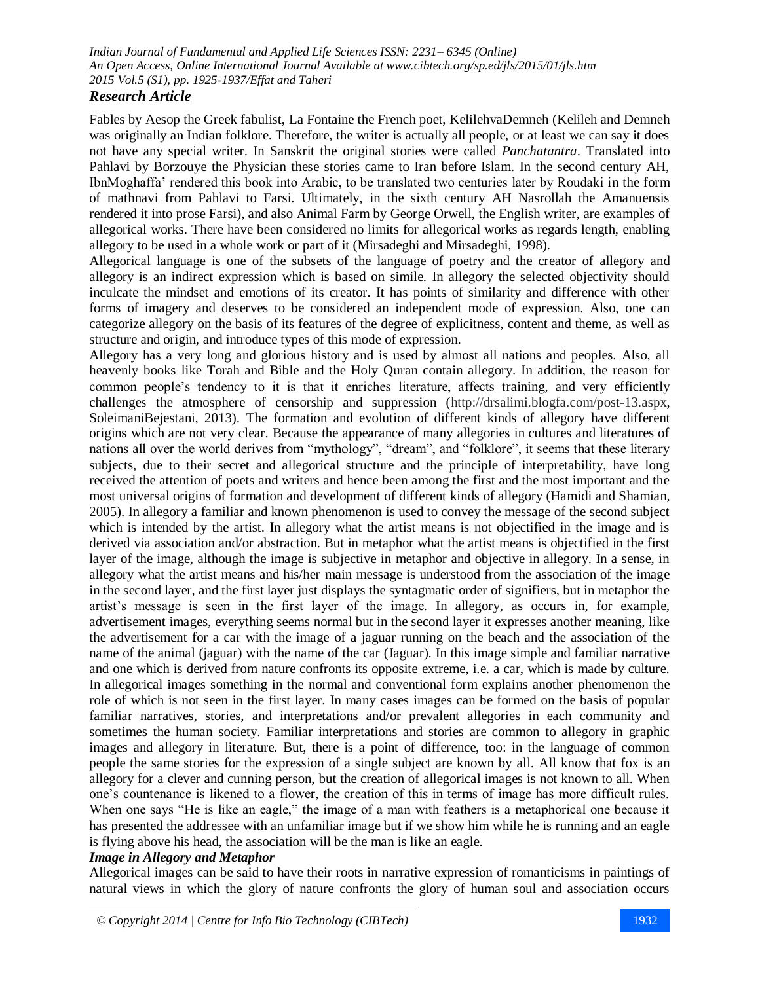## *Research Article*

Fables by Aesop the Greek fabulist, La Fontaine the French poet, KelilehvaDemneh (Kelileh and Demneh was originally an Indian folklore. Therefore, the writer is actually all people, or at least we can say it does not have any special writer. In Sanskrit the original stories were called *Panchatantra*. Translated into Pahlavi by Borzouye the Physician these stories came to Iran before Islam. In the second century AH, IbnMoghaffa' rendered this book into Arabic, to be translated two centuries later by Roudaki in the form of mathnavi from Pahlavi to Farsi. Ultimately, in the sixth century AH Nasrollah the Amanuensis rendered it into prose Farsi), and also Animal Farm by George Orwell, the English writer, are examples of allegorical works. There have been considered no limits for allegorical works as regards length, enabling allegory to be used in a whole work or part of it (Mirsadeghi and Mirsadeghi, 1998).

Allegorical language is one of the subsets of the language of poetry and the creator of allegory and allegory is an indirect expression which is based on simile. In allegory the selected objectivity should inculcate the mindset and emotions of its creator. It has points of similarity and difference with other forms of imagery and deserves to be considered an independent mode of expression. Also, one can categorize allegory on the basis of its features of the degree of explicitness, content and theme, as well as structure and origin, and introduce types of this mode of expression.

Allegory has a very long and glorious history and is used by almost all nations and peoples. Also, all heavenly books like Torah and Bible and the Holy Quran contain allegory. In addition, the reason for common people's tendency to it is that it enriches literature, affects training, and very efficiently challenges the atmosphere of censorship and suppression [\(http://drsalimi.blogfa.com/post-13.aspx,](http://drsalimi.blogfa.com/post-13.aspx) SoleimaniBejestani, 2013). The formation and evolution of different kinds of allegory have different origins which are not very clear. Because the appearance of many allegories in cultures and literatures of nations all over the world derives from "mythology", "dream", and "folklore", it seems that these literary subjects, due to their secret and allegorical structure and the principle of interpretability, have long received the attention of poets and writers and hence been among the first and the most important and the most universal origins of formation and development of different kinds of allegory (Hamidi and Shamian, 2005). In allegory a familiar and known phenomenon is used to convey the message of the second subject which is intended by the artist. In allegory what the artist means is not objectified in the image and is derived via association and/or abstraction. But in metaphor what the artist means is objectified in the first layer of the image, although the image is subjective in metaphor and objective in allegory. In a sense, in allegory what the artist means and his/her main message is understood from the association of the image in the second layer, and the first layer just displays the syntagmatic order of signifiers, but in metaphor the artist's message is seen in the first layer of the image. In allegory, as occurs in, for example, advertisement images, everything seems normal but in the second layer it expresses another meaning, like the advertisement for a car with the image of a jaguar running on the beach and the association of the name of the animal (jaguar) with the name of the car (Jaguar). In this image simple and familiar narrative and one which is derived from nature confronts its opposite extreme, i.e. a car, which is made by culture. In allegorical images something in the normal and conventional form explains another phenomenon the role of which is not seen in the first layer. In many cases images can be formed on the basis of popular familiar narratives, stories, and interpretations and/or prevalent allegories in each community and sometimes the human society. Familiar interpretations and stories are common to allegory in graphic images and allegory in literature. But, there is a point of difference, too: in the language of common people the same stories for the expression of a single subject are known by all. All know that fox is an allegory for a clever and cunning person, but the creation of allegorical images is not known to all. When one's countenance is likened to a flower, the creation of this in terms of image has more difficult rules. When one says "He is like an eagle," the image of a man with feathers is a metaphorical one because it has presented the addressee with an unfamiliar image but if we show him while he is running and an eagle is flying above his head, the association will be the man is like an eagle.

## *Image in Allegory and Metaphor*

Allegorical images can be said to have their roots in narrative expression of romanticisms in paintings of natural views in which the glory of nature confronts the glory of human soul and association occurs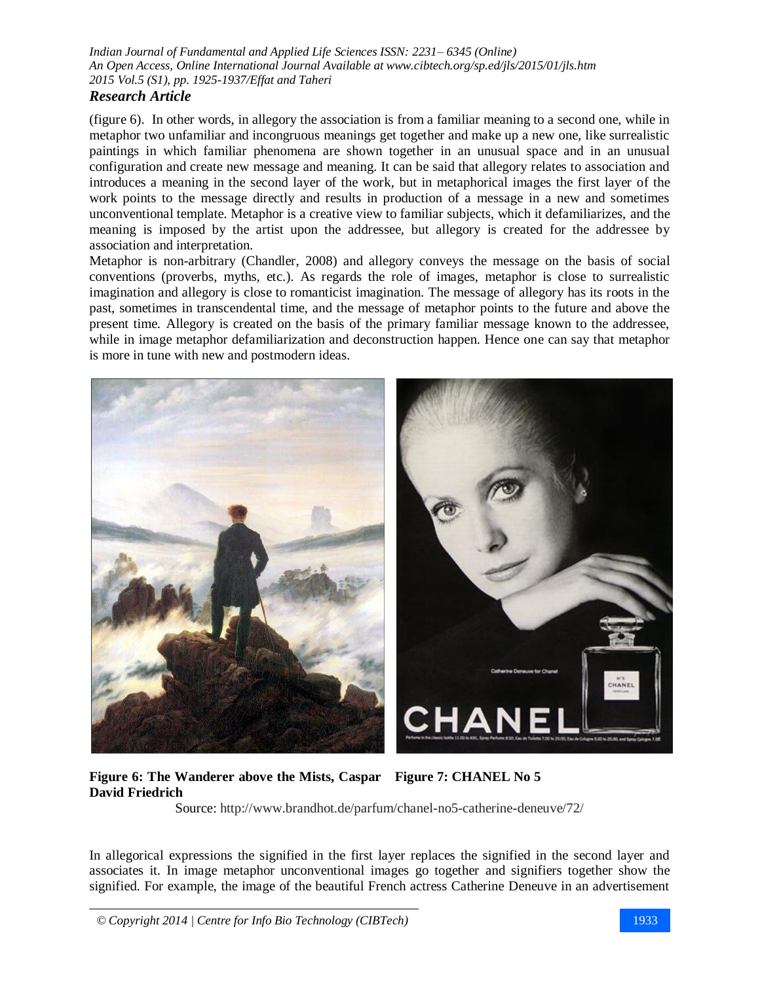## *Research Article*

(figure 6). In other words, in allegory the association is from a familiar meaning to a second one, while in metaphor two unfamiliar and incongruous meanings get together and make up a new one, like surrealistic paintings in which familiar phenomena are shown together in an unusual space and in an unusual configuration and create new message and meaning. It can be said that allegory relates to association and introduces a meaning in the second layer of the work, but in metaphorical images the first layer of the work points to the message directly and results in production of a message in a new and sometimes unconventional template. Metaphor is a creative view to familiar subjects, which it defamiliarizes, and the meaning is imposed by the artist upon the addressee, but allegory is created for the addressee by association and interpretation.

Metaphor is non-arbitrary [\(Chandler,](http://www.google.com/search?tbo=p&tbm=bks&q=inauthor:%22Daniel+Chandler%22) 2008) and allegory conveys the message on the basis of social conventions (proverbs, myths, etc.). As regards the role of images, metaphor is close to surrealistic imagination and allegory is close to romanticist imagination. The message of allegory has its roots in the past, sometimes in transcendental time, and the message of metaphor points to the future and above the present time. Allegory is created on the basis of the primary familiar message known to the addressee, while in image metaphor defamiliarization and deconstruction happen. Hence one can say that metaphor is more in tune with new and postmodern ideas.



**Figure 6: The Wanderer above the Mists, Caspar Figure 7: CHANEL No 5 David Friedrich**

Source:<http://www.brandhot.de/parfum/chanel-no5-catherine-deneuve/72/>

In allegorical expressions the signified in the first layer replaces the signified in the second layer and associates it. In image metaphor unconventional images go together and signifiers together show the signified. For example, the image of the beautiful French actress Catherine Deneuve in an advertisement

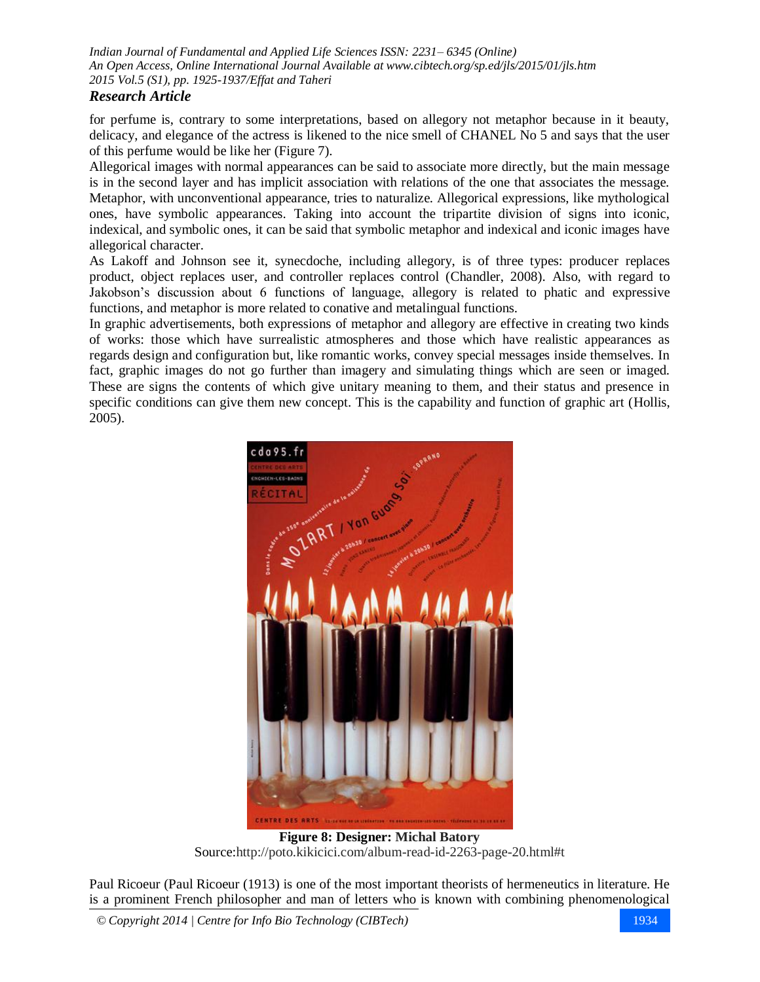## *Research Article*

for perfume is, contrary to some interpretations, based on allegory not metaphor because in it beauty, delicacy, and elegance of the actress is likened to the nice smell of CHANEL No 5 and says that the user of this perfume would be like her (Figure 7).

Allegorical images with normal appearances can be said to associate more directly, but the main message is in the second layer and has implicit association with relations of the one that associates the message. Metaphor, with unconventional appearance, tries to naturalize. Allegorical expressions, like mythological ones, have symbolic appearances. Taking into account the tripartite division of signs into iconic, indexical, and symbolic ones, it can be said that symbolic metaphor and indexical and iconic images have allegorical character.

As Lakoff and Johnson see it, synecdoche, including allegory, is of three types: producer replaces product, object replaces user, and controller replaces control [\(Chandler,](http://www.google.com/search?tbo=p&tbm=bks&q=inauthor:%22Daniel+Chandler%22) 2008). Also, with regard to Jakobson's discussion about 6 functions of language, allegory is related to phatic and expressive functions, and metaphor is more related to conative and metalingual functions.

In graphic advertisements, both expressions of metaphor and allegory are effective in creating two kinds of works: those which have surrealistic atmospheres and those which have realistic appearances as regards design and configuration but, like romantic works, convey special messages inside themselves. In fact, graphic images do not go further than imagery and simulating things which are seen or imaged. These are signs the contents of which give unitary meaning to them, and their status and presence in specific conditions can give them new concept. This is the capability and function of graphic art (Hollis, 2005).



**Figure 8: Designer: [Michal Batory](http://www.google.com/url?sa=t&rct=j&q=%D9%85%DB%8C%D8%B4%D9%84+%D8%A8%D8%A7%D8%AA%D9%88%D8%B1%DB%8C&source=web&cd=10&cad=rja&uact=8&ved=0CDsQFjAJ&url=http%3A%2F%2Fpnu-club.com%2Fshowthread.php%3F11926-%25D8%25A2%25D8%25B4%25D9%2586%25D8%25A7%25DB%258C%25DB%258C-%25D8%25A8%25D8%25A7-%25D9%2585%25DB%258C%25D8%25B4%25D9%2584-%25D8%25A8%25D8%25A7%25D8%25AA%25D9%2588%25D8%25B1%25DB%258C-Michal-Batory&ei=wbecU96UFuq40QWMsYDoDw&usg=AFQjCNE5rEn1X8_hwisGR8sgBcC0FRklOg&sig2=SdMPvVwZaqc5fqcoab15Yg&bvm=bv.68911936,d.d2k)** Source[:http://poto.kikicici.com/album-read-id-2263-page-20.html#t](http://poto.kikicici.com/album-read-id-2263-page-20.html#t)

Paul Ricoeur (Paul Ricoeur (1913) is one of the most important theorists of hermeneutics in literature. He is a prominent French philosopher and man of letters who is known with combining phenomenological

*© Copyright 2014 | Centre for Info Bio Technology (CIBTech)* 1934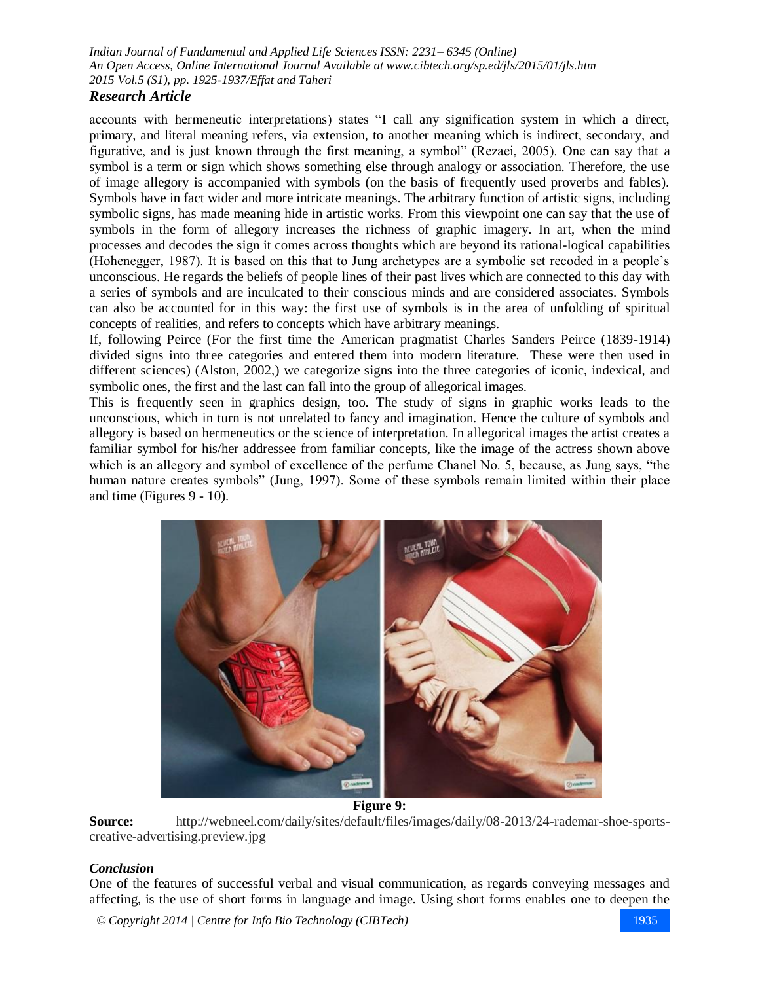## *Research Article*

accounts with hermeneutic interpretations) states "I call any signification system in which a direct, primary, and literal meaning refers, via extension, to another meaning which is indirect, secondary, and figurative, and is just known through the first meaning, a symbol" (Rezaei, 2005). One can say that a symbol is a term or sign which shows something else through analogy or association. Therefore, the use of image allegory is accompanied with symbols (on the basis of frequently used proverbs and fables). Symbols have in fact wider and more intricate meanings. The arbitrary function of artistic signs, including symbolic signs, has made meaning hide in artistic works. From this viewpoint one can say that the use of symbols in the form of allegory increases the richness of graphic imagery. In art, when the mind processes and decodes the sign it comes across thoughts which are beyond its rational-logical capabilities (Hohenegger, 1987). It is based on this that to Jung archetypes are a symbolic set recoded in a people's unconscious. He regards the beliefs of people lines of their past lives which are connected to this day with a series of symbols and are inculcated to their conscious minds and are considered associates. Symbols can also be accounted for in this way: the first use of symbols is in the area of unfolding of spiritual concepts of realities, and refers to concepts which have arbitrary meanings.

If, following Peirce (For the first time the American pragmatist Charles Sanders Peirce (1839-1914) divided signs into three categories and entered them into modern literature. These were then used in different sciences) (Alston, 2002,) we categorize signs into the three categories of iconic, indexical, and symbolic ones, the first and the last can fall into the group of allegorical images.

This is frequently seen in graphics design, too. The study of signs in graphic works leads to the unconscious, which in turn is not unrelated to fancy and imagination. Hence the culture of symbols and allegory is based on hermeneutics or the science of interpretation. In allegorical images the artist creates a familiar symbol for his/her addressee from familiar concepts, like the image of the actress shown above which is an allegory and symbol of excellence of the perfume Chanel No. 5, because, as Jung says, "the human nature creates symbols" (Jung, 1997). Some of these symbols remain limited within their place and time (Figures 9 - 10).



**Figure 9:**

**Source:** [http://webneel.com/daily/sites/default/files/images/daily/08-2013/24-rademar-shoe-sports](http://webneel.com/daily/sites/default/files/images/daily/08-2013/24-rademar-shoe-sports-creative-advertising.preview.jpg)[creative-advertising.preview.jpg](http://webneel.com/daily/sites/default/files/images/daily/08-2013/24-rademar-shoe-sports-creative-advertising.preview.jpg)

### *Conclusion*

One of the features of successful verbal and visual communication, as regards conveying messages and affecting, is the use of short forms in language and image. Using short forms enables one to deepen the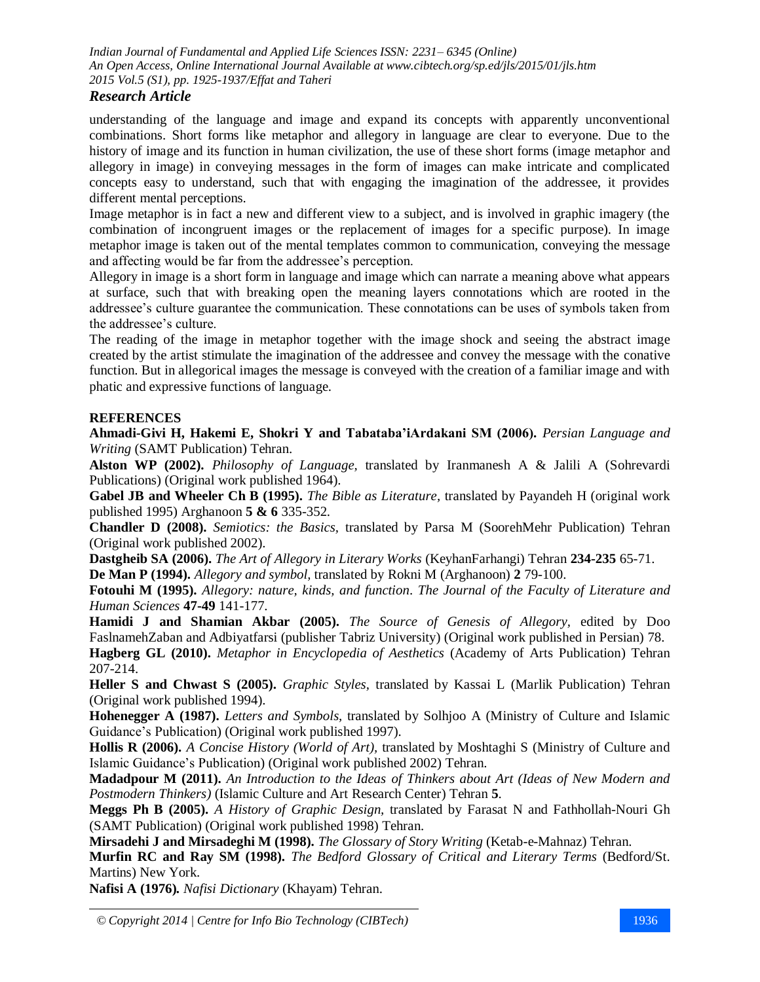# *Research Article*

understanding of the language and image and expand its concepts with apparently unconventional combinations. Short forms like metaphor and allegory in language are clear to everyone. Due to the history of image and its function in human civilization, the use of these short forms (image metaphor and allegory in image) in conveying messages in the form of images can make intricate and complicated concepts easy to understand, such that with engaging the imagination of the addressee, it provides different mental perceptions.

Image metaphor is in fact a new and different view to a subject, and is involved in graphic imagery (the combination of incongruent images or the replacement of images for a specific purpose). In image metaphor image is taken out of the mental templates common to communication, conveying the message and affecting would be far from the addressee's perception.

Allegory in image is a short form in language and image which can narrate a meaning above what appears at surface, such that with breaking open the meaning layers connotations which are rooted in the addressee's culture guarantee the communication. These connotations can be uses of symbols taken from the addressee's culture.

The reading of the image in metaphor together with the image shock and seeing the abstract image created by the artist stimulate the imagination of the addressee and convey the message with the conative function. But in allegorical images the message is conveyed with the creation of a familiar image and with phatic and expressive functions of language.

## **REFERENCES**

**Ahmadi-Givi H, Hakemi E, Shokri Y and Tabataba'iArdakani SM (2006).** *Persian Language and Writing* (SAMT Publication) Tehran.

**Alston WP (2002).** *Philosophy of Language,* translated by Iranmanesh A & Jalili A (Sohrevardi Publications) (Original work published 1964).

**Gabel JB and Wheeler Ch B (1995).** *The Bible as Literature,* translated by Payandeh H (original work published 1995) Arghanoon **5 & 6** 335-352.

**Chandler D (2008).** *Semiotics: the Basics,* translated by Parsa M (SoorehMehr Publication) Tehran (Original work published 2002).

**Dastgheib SA (2006).** *The Art of Allegory in Literary Works* (KeyhanFarhangi) Tehran **234-235** 65-71.

**De Man P (1994).** *Allegory and symbol,* translated by Rokni M (Arghanoon) **2** 79-100.

**Fotouhi M (1995).** *Allegory: nature, kinds, and function*. *The Journal of the Faculty of Literature and Human Sciences* **47-49** 141-177.

**Hamidi J and Shamian Akbar (2005).** *The Source of Genesis of Allegory,* edited by Doo FaslnamehZaban and Adbiyatfarsi (publisher Tabriz University) (Original work published in Persian) 78.

**Hagberg GL (2010).** *Metaphor in Encyclopedia of Aesthetics* (Academy of Arts Publication) Tehran 207-214.

**Heller S and Chwast S (2005).** *Graphic Styles,* translated by Kassai L (Marlik Publication) Tehran (Original work published 1994).

**Hohenegger A (1987).** *Letters and Symbols,* translated by Solhjoo A (Ministry of Culture and Islamic Guidance's Publication) (Original work published 1997).

**Hollis R (2006).** *A Concise History (World of Art),* translated by Moshtaghi S (Ministry of Culture and Islamic Guidance's Publication) (Original work published 2002) Tehran.

**Madadpour M (2011).** *An Introduction to the Ideas of Thinkers about Art (Ideas of New Modern and Postmodern Thinkers)* (Islamic Culture and Art Research Center) Tehran **5**.

**Meggs Ph B (2005).** *A History of Graphic Design,* translated by Farasat N and Fathhollah-Nouri Gh (SAMT Publication) (Original work published 1998) Tehran.

**Mirsadehi J and Mirsadeghi M (1998).** *The Glossary of Story Writing* (Ketab-e-Mahnaz) Tehran.

**Murfin RC and Ray SM (1998).** *The Bedford Glossary of Critical and Literary Terms* (Bedford/St. Martins) New York.

**Nafisi A (1976)***. Nafisi Dictionary* (Khayam) Tehran.